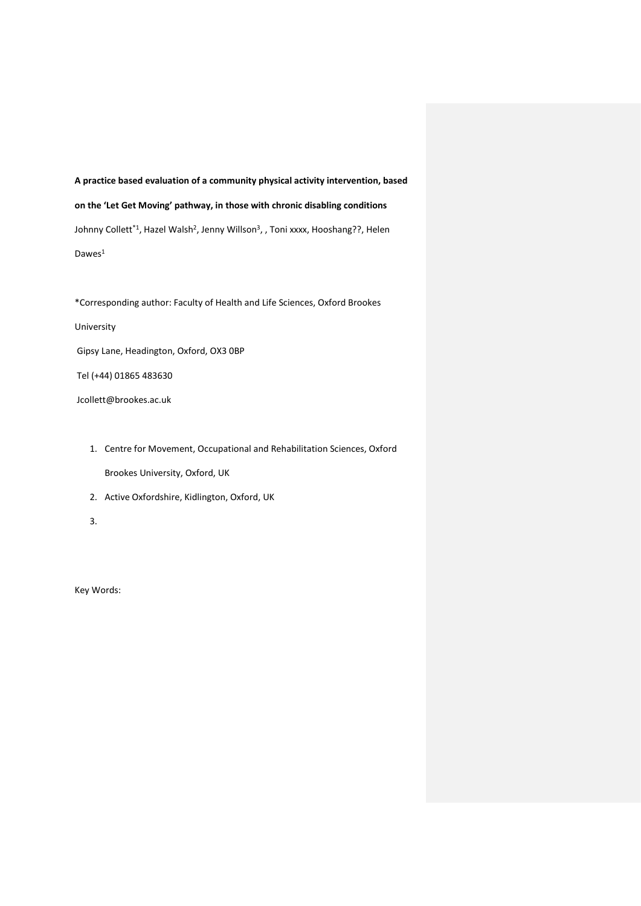**A practice based evaluation of a community physical activity intervention, based on the 'Let Get Moving' pathway, in those with chronic disabling conditions** Johnny Collett<sup>\*1</sup>, Hazel Walsh<sup>2</sup>, Jenny Willson<sup>3</sup>, , Toni xxxx, Hooshang??, Helen Dawes<sup>1</sup>

\*Corresponding author: Faculty of Health and Life Sciences, Oxford Brookes University Gipsy Lane, Headington, Oxford, OX3 0BP Tel (+44) 01865 483630 [Jcollett@brookes.ac.uk](mailto:Jcollett@brookes.ac.uk)

- 1. Centre for Movement, Occupational and Rehabilitation Sciences, Oxford Brookes University, Oxford, UK
- 2. Active Oxfordshire, Kidlington, Oxford, UK
- 3.

Key Words: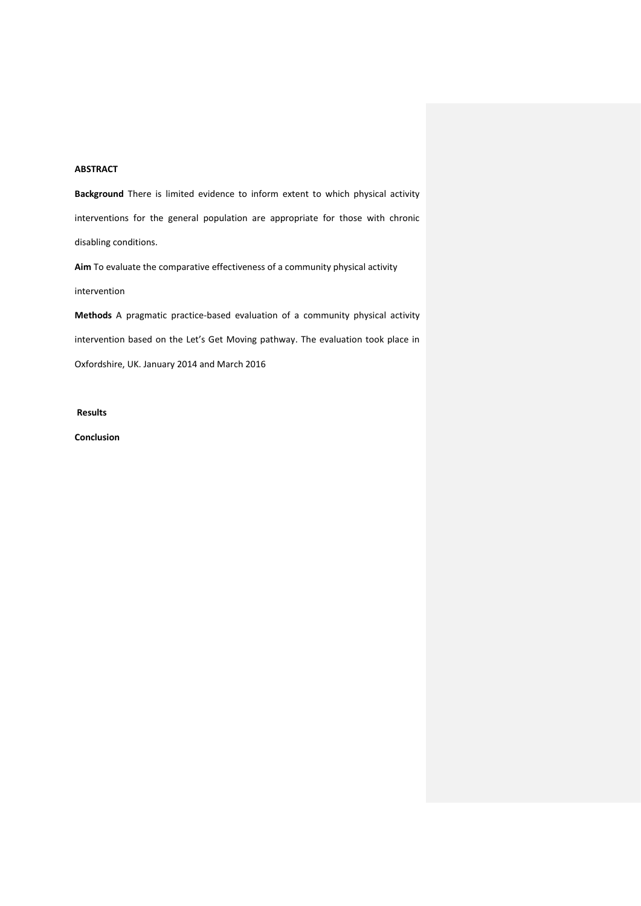#### **ABSTRACT**

**Background** There is limited evidence to inform extent to which physical activity interventions for the general population are appropriate for those with chronic disabling conditions.

**Aim** To evaluate the comparative effectiveness of a community physical activity intervention

**Methods** A pragmatic practice-based evaluation of a community physical activity intervention based on the Let's Get Moving pathway. The evaluation took place in Oxfordshire, UK. January 2014 and March 2016

#### **Results**

**Conclusion**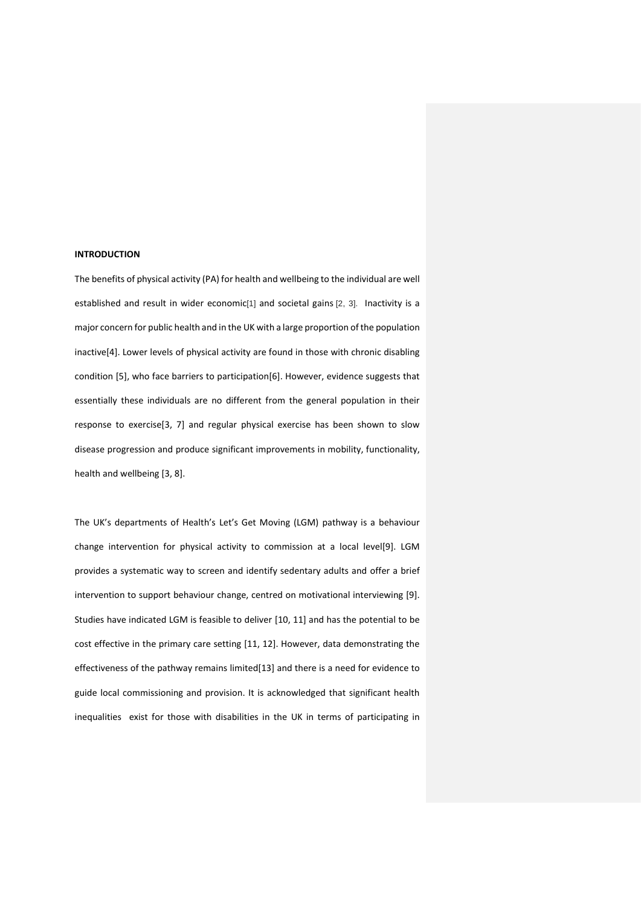# **INTRODUCTION**

The benefits of physical activity (PA) for health and wellbeing to the individual are well established and result in wider economic[\[1\]](#page-16-0) and societal gains [\[2,](#page-16-1) [3\]](#page-16-2). Inactivity is a major concern for public health and in the UK with a large proportion of the population inactive[\[4\]](#page-16-3). Lower levels of physical activity are found in those with chronic disabling condition [\[5\]](#page-16-4), who face barriers to participation[\[6\]](#page-16-5). However, evidence suggests that essentially these individuals are no different from the general population in their response to exercise[\[3,](#page-16-2) [7\]](#page-16-6) and regular physical exercise has been shown to slow disease progression and produce significant improvements in mobility, functionality, health and wellbeing [\[3,](#page-16-2) [8\]](#page-16-7).

The UK's departments of Health's Let's Get Moving (LGM) pathway is a behaviour change intervention for physical activity to commission at a local level[\[9\]](#page-17-0). LGM provides a systematic way to screen and identify sedentary adults and offer a brief intervention to support behaviour change, centred on motivational interviewing [\[9\]](#page-17-0). Studies have indicated LGM is feasible to deliver [\[10,](#page-17-1) [11\]](#page-17-2) and has the potential to be cost effective in the primary care setting [\[11,](#page-17-2) [12\]](#page-17-3). However, data demonstrating the effectiveness of the pathway remains limited[\[13\]](#page-17-4) and there is a need for evidence to guide local commissioning and provision. It is acknowledged that significant health inequalities exist for those with disabilities in the UK in terms of participating in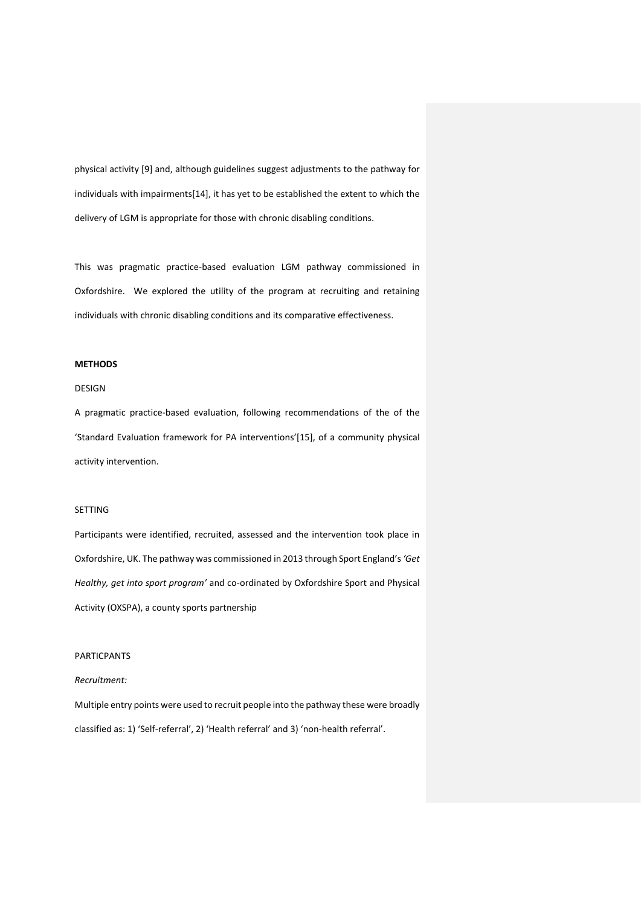physical activity [\[9\]](#page-17-0) and, although guidelines suggest adjustments to the pathway for individuals with impairments[\[14\]](#page-17-5), it has yet to be established the extent to which the delivery of LGM is appropriate for those with chronic disabling conditions.

This was pragmatic practice-based evaluation LGM pathway commissioned in Oxfordshire. We explored the utility of the program at recruiting and retaining individuals with chronic disabling conditions and its comparative effectiveness.

# **METHODS**

# DESIGN

A pragmatic practice-based evaluation, following recommendations of the of the 'Standard Evaluation framework for PA interventions'[\[15\]](#page-17-6), of a community physical activity intervention.

#### SETTING

Participants were identified, recruited, assessed and the intervention took place in Oxfordshire, UK. The pathway was commissioned in 2013 through Sport England's *'Get Healthy, get into sport program'* and co-ordinated by Oxfordshire Sport and Physical Activity (OXSPA), a county sports partnership

# PARTICPANTS

## *Recruitment:*

Multiple entry points were used to recruit people into the pathway these were broadly classified as: 1) 'Self-referral', 2) 'Health referral' and 3) 'non-health referral'.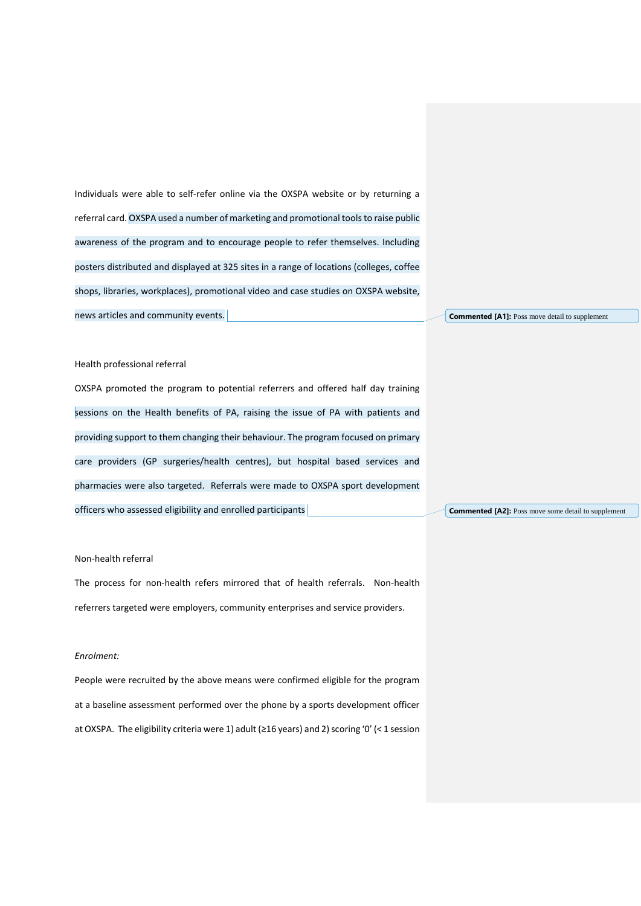Individuals were able to self-refer online via the OXSPA website or by returning a referral card. OXSPA used a number of marketing and promotional tools to raise public awareness of the program and to encourage people to refer themselves. Including posters distributed and displayed at 325 sites in a range of locations (colleges, coffee shops, libraries, workplaces), promotional video and case studies on OXSPA website, news articles and community events.

# **Commented [A1]:** Poss move detail to supplement

#### Health professional referral

OXSPA promoted the program to potential referrers and offered half day training sessions on the Health benefits of PA, raising the issue of PA with patients and providing support to them changing their behaviour. The program focused on primary care providers (GP surgeries/health centres), but hospital based services and pharmacies were also targeted. Referrals were made to OXSPA sport development officers who assessed eligibility and enrolled participants

# Non-health referral

The process for non-health refers mirrored that of health referrals. Non-health referrers targeted were employers, community enterprises and service providers.

### *Enrolment:*

People were recruited by the above means were confirmed eligible for the program at a baseline assessment performed over the phone by a sports development officer at OXSPA. The eligibility criteria were 1) adult (≥16 years) and 2) scoring '0' (< 1 session **Commented [A2]:** Poss move some detail to supplement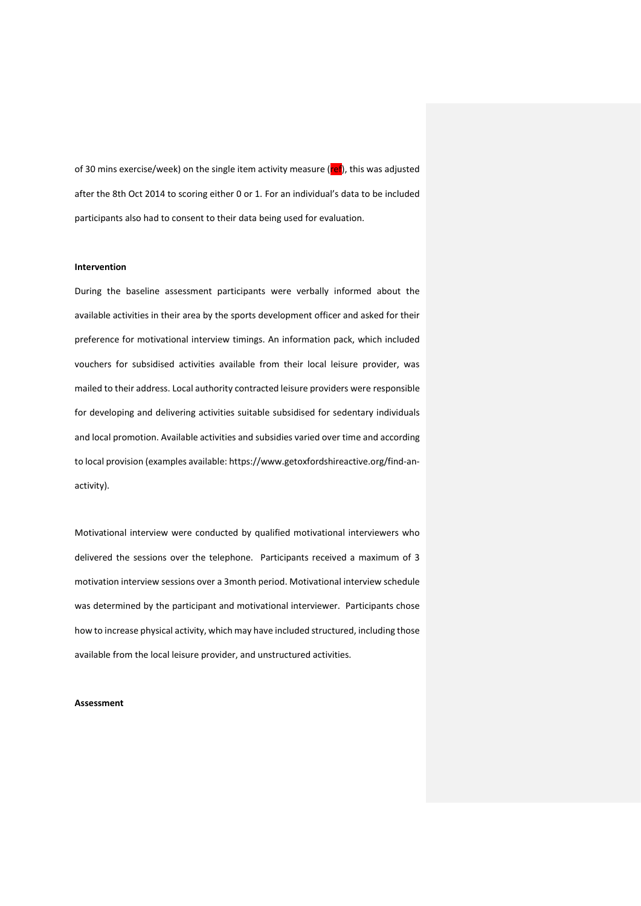of 30 mins exercise/week) on the single item activity measure (ref), this was adjusted after the 8th Oct 2014 to scoring either 0 or 1. For an individual's data to be included participants also had to consent to their data being used for evaluation.

# **Intervention**

During the baseline assessment participants were verbally informed about the available activities in their area by the sports development officer and asked for their preference for motivational interview timings. An information pack, which included vouchers for subsidised activities available from their local leisure provider, was mailed to their address. Local authority contracted leisure providers were responsible for developing and delivering activities suitable subsidised for sedentary individuals and local promotion. Available activities and subsidies varied over time and according to local provision (examples available: https://www.getoxfordshireactive.org/find-anactivity).

Motivational interview were conducted by qualified motivational interviewers who delivered the sessions over the telephone. Participants received a maximum of 3 motivation interview sessions over a 3month period. Motivational interview schedule was determined by the participant and motivational interviewer. Participants chose how to increase physical activity, which may have included structured, including those available from the local leisure provider, and unstructured activities.

#### **Assessment**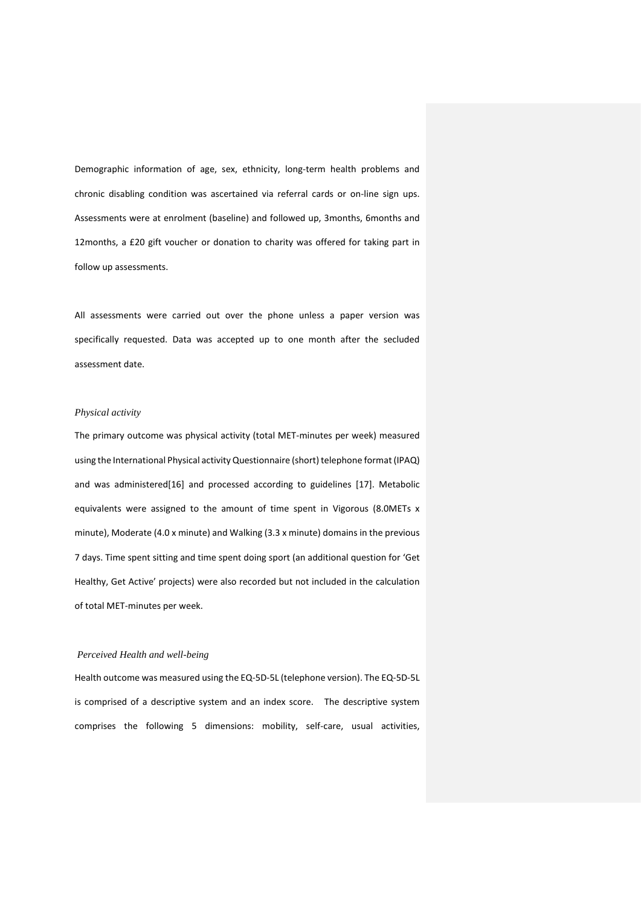Demographic information of age, sex, ethnicity, long-term health problems and chronic disabling condition was ascertained via referral cards or on-line sign ups. Assessments were at enrolment (baseline) and followed up, 3months, 6months and 12months, a £20 gift voucher or donation to charity was offered for taking part in follow up assessments.

All assessments were carried out over the phone unless a paper version was specifically requested. Data was accepted up to one month after the secluded assessment date.

#### *Physical activity*

The primary outcome was physical activity (total MET-minutes per week) measured using the International Physical activity Questionnaire (short) telephone format (IPAQ) and was administered[\[16\]](#page-17-7) and processed according to guidelines [\[17\]](#page-17-8). Metabolic equivalents were assigned to the amount of time spent in Vigorous (8.0METs x minute), Moderate (4.0 x minute) and Walking (3.3 x minute) domains in the previous 7 days. Time spent sitting and time spent doing sport (an additional question for 'Get Healthy, Get Active' projects) were also recorded but not included in the calculation of total MET-minutes per week.

#### *Perceived Health and well-being*

Health outcome was measured using the EQ-5D-5L (telephone version). The EQ-5D-5L is comprised of a descriptive system and an index score. The descriptive system comprises the following 5 dimensions: mobility, self-care, usual activities,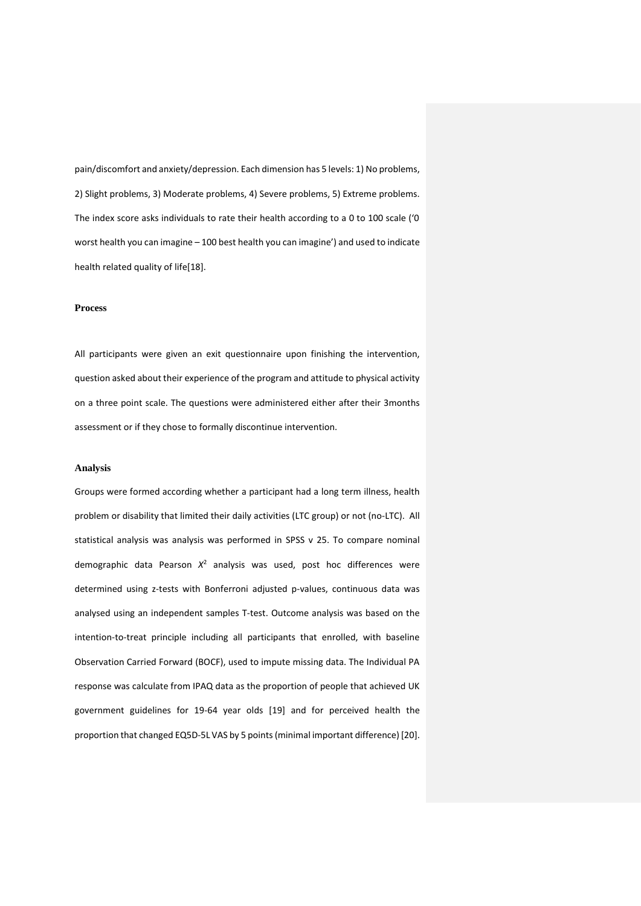pain/discomfort and anxiety/depression. Each dimension has 5 levels: 1) No problems, 2) Slight problems, 3) Moderate problems, 4) Severe problems, 5) Extreme problems. The index score asks individuals to rate their health according to a 0 to 100 scale ('0 worst health you can imagine – 100 best health you can imagine') and used to indicate health related quality of life[\[18\]](#page-17-9).

#### **Process**

All participants were given an exit questionnaire upon finishing the intervention, question asked about their experience of the program and attitude to physical activity on a three point scale. The questions were administered either after their 3months assessment or if they chose to formally discontinue intervention.

#### **Analysis**

Groups were formed according whether a participant had a long term illness, health problem or disability that limited their daily activities (LTC group) or not (no-LTC). All statistical analysis was analysis was performed in SPSS v 25. To compare nominal demographic data Pearson *X* <sup>2</sup> analysis was used, post hoc differences were determined using z-tests with Bonferroni adjusted p-values, continuous data was analysed using an independent samples T-test. Outcome analysis was based on the intention-to-treat principle including all participants that enrolled, with baseline Observation Carried Forward (BOCF), used to impute missing data. The Individual PA response was calculate from IPAQ data as the proportion of people that achieved UK government guidelines for 19-64 year olds [\[19\]](#page-17-10) and for perceived health the proportion that changed EQ5D-5L VAS by 5 points (minimal important difference) [\[20\]](#page-17-11).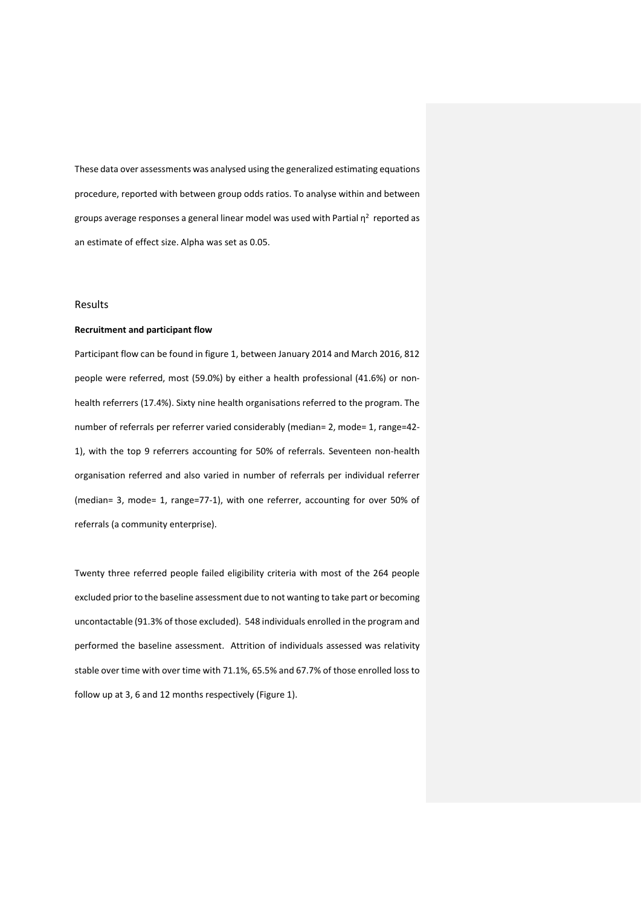These data over assessments was analysed using the generalized estimating equations procedure, reported with between group odds ratios. To analyse within and between groups average responses a general linear model was used with Partial  $\eta^2$  reported as an estimate of effect size. Alpha was set as 0.05.

# Results

#### **Recruitment and participant flow**

Participant flow can be found in figure 1, between January 2014 and March 2016, 812 people were referred, most (59.0%) by either a health professional (41.6%) or nonhealth referrers (17.4%). Sixty nine health organisations referred to the program. The number of referrals per referrer varied considerably (median= 2, mode= 1, range=42- 1), with the top 9 referrers accounting for 50% of referrals. Seventeen non-health organisation referred and also varied in number of referrals per individual referrer (median= 3, mode= 1, range=77-1), with one referrer, accounting for over 50% of referrals (a community enterprise).

Twenty three referred people failed eligibility criteria with most of the 264 people excluded prior to the baseline assessment due to not wanting to take part or becoming uncontactable (91.3% of those excluded). 548 individuals enrolled in the program and performed the baseline assessment. Attrition of individuals assessed was relativity stable over time with over time with 71.1%, 65.5% and 67.7% of those enrolled loss to follow up at 3, 6 and 12 months respectively (Figure 1).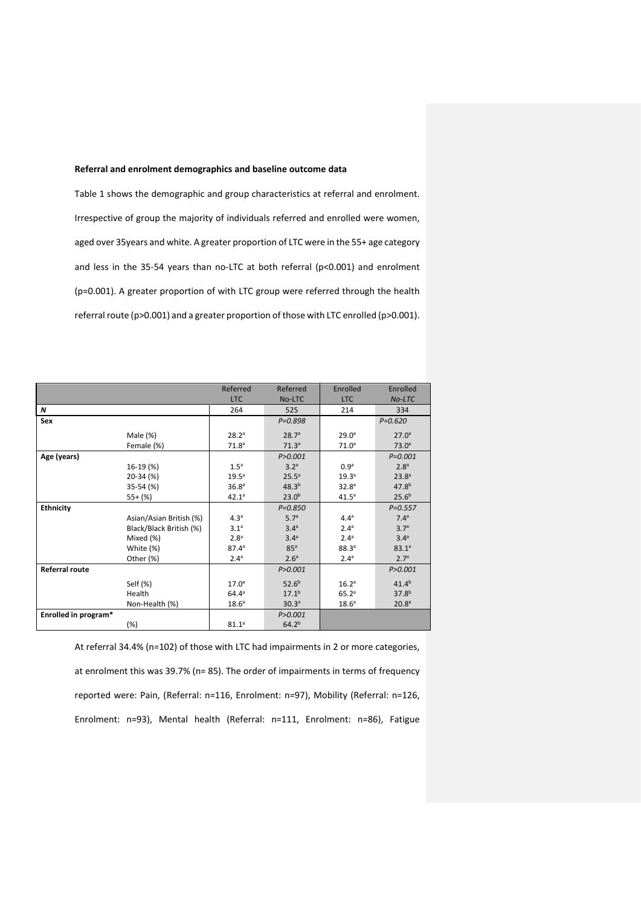#### **Referral and enrolment demographics and baseline outcome data**

Table 1 shows the demographic and group characteristics at referral and enrolment. Irrespective of group the majority of individuals referred and enrolled were women, aged over 35years and white. A greater proportion of LTC were in the 55+ age category and less in the 35-54 years than no-LTC at both referral (p<0.001) and enrolment (p=0.001). A greater proportion of with LTC group were referred through the health referral route (p>0.001) and a greater proportion of those with LTC enrolled (p>0.001).

|                       |                         | Referred          | Referred          | Enrolled          | Enrolled          |
|-----------------------|-------------------------|-------------------|-------------------|-------------------|-------------------|
|                       |                         | <b>LTC</b>        | No-LTC            | <b>LTC</b>        | No-LTC            |
| N                     |                         | 264               | 525               | 214               | 334               |
| Sex                   |                         |                   | $P = 0.898$       |                   | $P = 0.620$       |
|                       | Male $(%$               | 28.2 <sup>a</sup> | 28.7 <sup>a</sup> | 29.0 <sup>a</sup> | 27.0 <sup>a</sup> |
|                       | Female (%)              | 71.8 <sup>a</sup> | 71.3 <sup>a</sup> | 71.0 <sup>a</sup> | 73.0 <sup>a</sup> |
| Age (years)           |                         |                   | P > 0.001         |                   | $P = 0.001$       |
|                       | 16-19 (%)               | 1.5 <sup>a</sup>  | 3.2 <sup>a</sup>  | 0.9 <sup>a</sup>  | 2.8 <sup>a</sup>  |
|                       | 20-34 (%)               | $19.5^a$          | $25.5^a$          | 19.3 <sup>a</sup> | 23.8 <sup>a</sup> |
|                       | 35-54 (%)               | 36.8 <sup>a</sup> | $48.3^{b}$        | 32.8 <sup>a</sup> | $47.8^{b}$        |
|                       | $55+$ (%)               | 42.1 <sup>a</sup> | $23.0^{b}$        | 41.5 <sup>a</sup> | 25.6 <sup>b</sup> |
| <b>Ethnicity</b>      |                         |                   | $P = 0.850$       |                   | $P = 0.557$       |
|                       | Asian/Asian British (%) | 4.3 <sup>a</sup>  | 5.7 <sup>a</sup>  | 4.4 <sup>a</sup>  | 7.4 <sup>a</sup>  |
|                       | Black/Black British (%) | 3.1 <sup>a</sup>  | 3.4 <sup>a</sup>  | 2.4 <sup>a</sup>  | 3.7 <sup>a</sup>  |
|                       | Mixed (%)               | 2.8 <sup>a</sup>  | 3.4 <sup>a</sup>  | 2.4 <sup>a</sup>  | 3.4 <sup>a</sup>  |
|                       | White (%)               | 87.4 <sup>a</sup> | 85 <sup>a</sup>   | 88.3 <sup>a</sup> | $83.1^{a}$        |
|                       | Other (%)               | 2.4 <sup>a</sup>  | 2.6 <sup>a</sup>  | 2.4 <sup>a</sup>  | 2.7 <sup>a</sup>  |
| <b>Referral route</b> |                         |                   | P > 0.001         |                   | P > 0.001         |
|                       | Self (%)                | 17.0 <sup>a</sup> | 52.6 <sup>b</sup> | 16.2 <sup>a</sup> | $41.4^{b}$        |
|                       | Health                  | $64.4^{\circ}$    | 17.1 <sup>b</sup> | 65.2 <sup>a</sup> | 37.8 <sup>b</sup> |
|                       | Non-Health (%)          | 18.6 <sup>a</sup> | 30.3 <sup>a</sup> | 18.6 <sup>a</sup> | 20.8 <sup>a</sup> |
| Enrolled in program*  |                         |                   | P > 0.001         |                   |                   |
|                       | $(\%)$                  | 81.1 <sup>a</sup> | $64.2^{b}$        |                   |                   |

At referral 34.4% (n=102) of those with LTC had impairments in 2 or more categories, at enrolment this was 39.7% (n= 85). The order of impairments in terms of frequency reported were: Pain, (Referral: n=116, Enrolment: n=97), Mobility (Referral: n=126, Enrolment: n=93), Mental health (Referral: n=111, Enrolment: n=86), Fatigue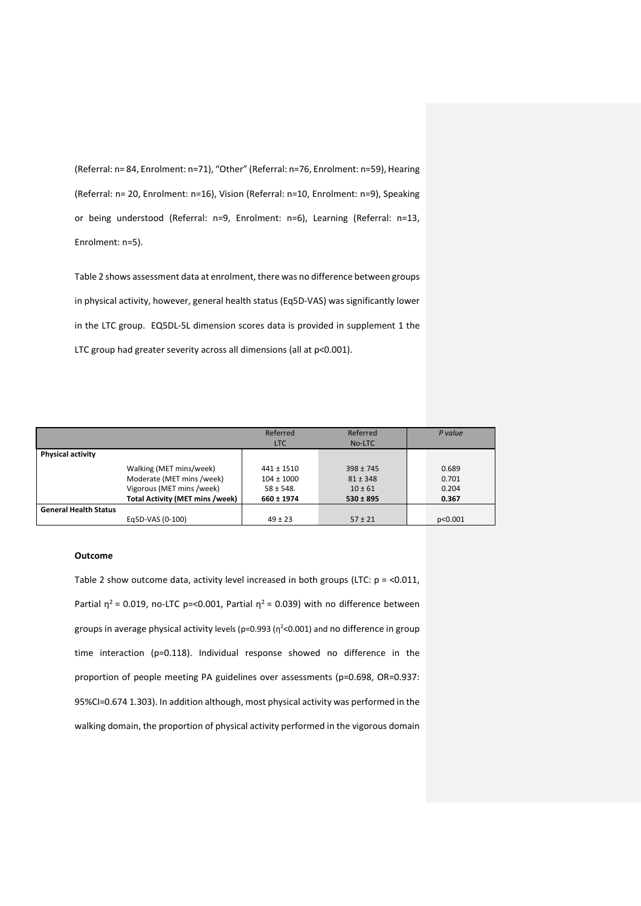(Referral: n= 84, Enrolment: n=71), "Other" (Referral: n=76, Enrolment: n=59), Hearing (Referral: n= 20, Enrolment: n=16), Vision (Referral: n=10, Enrolment: n=9), Speaking or being understood (Referral: n=9, Enrolment: n=6), Learning (Referral: n=13, Enrolment: n=5).

Table 2 shows assessment data at enrolment, there was no difference between groups in physical activity, however, general health status (Eq5D-VAS) was significantly lower in the LTC group. EQ5DL-5L dimension scores data is provided in supplement 1 the LTC group had greater severity across all dimensions (all at p<0.001).

|                              |                                        | Referred<br><b>LTC</b> | Referred<br>No-LTC | P value |
|------------------------------|----------------------------------------|------------------------|--------------------|---------|
| <b>Physical activity</b>     |                                        |                        |                    |         |
|                              | Walking (MET mins/week)                | $441 \pm 1510$         | $398 \pm 745$      | 0.689   |
|                              | Moderate (MET mins /week)              | $104 \pm 1000$         | $81 \pm 348$       | 0.701   |
|                              | Vigorous (MET mins /week)              | $58 \pm 548$ .         | $10 \pm 61$        | 0.204   |
|                              | <b>Total Activity (MET mins /week)</b> | $660 \pm 1974$         | $530 \pm 895$      | 0.367   |
| <b>General Health Status</b> |                                        |                        |                    |         |
|                              | Eg5D-VAS (0-100)                       | $49 \pm 23$            | $57 \pm 21$        | p<0.001 |

## **Outcome**

Table 2 show outcome data, activity level increased in both groups (LTC:  $p =$  <0.011, Partial  $\eta^2$  = 0.019, no-LTC p=<0.001, Partial  $\eta^2$  = 0.039) with no difference between groups in average physical activity levels (p=0.993 ( $n^2$ <0.001) and no difference in group time interaction (p=0.118). Individual response showed no difference in the proportion of people meeting PA guidelines over assessments (p=0.698, OR=0.937: 95%CI=0.674 1.303). In addition although, most physical activity was performed in the walking domain, the proportion of physical activity performed in the vigorous domain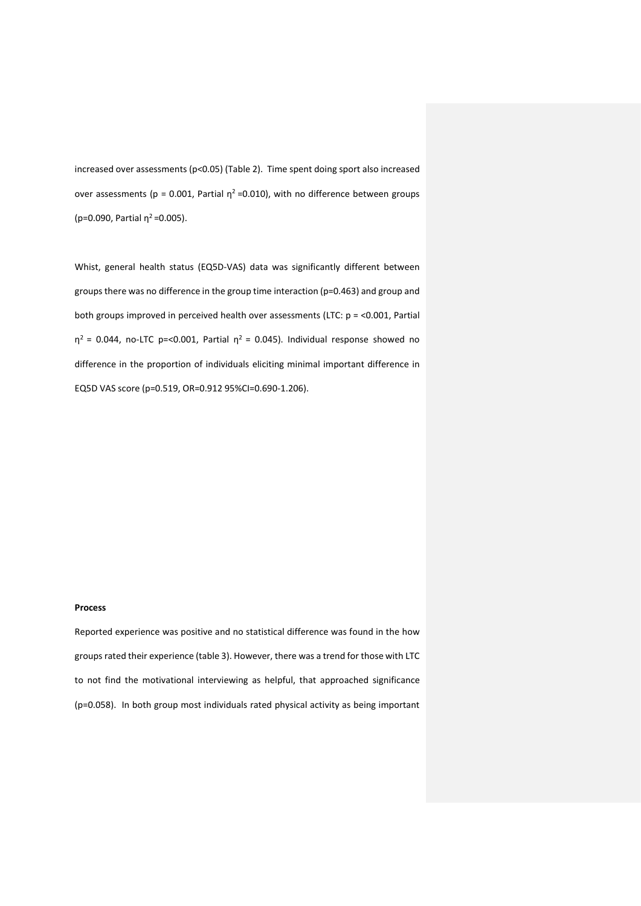increased over assessments (p<0.05) (Table 2). Time spent doing sport also increased over assessments (p = 0.001, Partial  $\eta^2$  =0.010), with no difference between groups (p=0.090, Partial  $\eta^2$ =0.005).

Whist, general health status (EQ5D-VAS) data was significantly different between groups there was no difference in the group time interaction (p=0.463) and group and both groups improved in perceived health over assessments (LTC: p = <0.001, Partial  $\eta^2$  = 0.044, no-LTC p=<0.001, Partial  $\eta^2$  = 0.045). Individual response showed no difference in the proportion of individuals eliciting minimal important difference in EQ5D VAS score (p=0.519, OR=0.912 95%CI=0.690-1.206).

# **Process**

Reported experience was positive and no statistical difference was found in the how groups rated their experience (table 3). However, there was a trend for those with LTC to not find the motivational interviewing as helpful, that approached significance (p=0.058). In both group most individuals rated physical activity as being important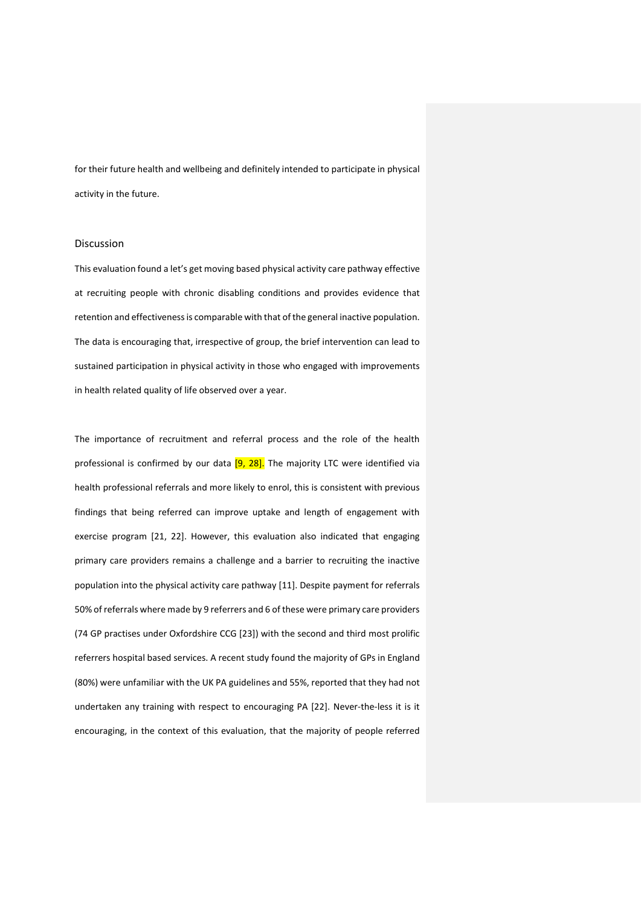for their future health and wellbeing and definitely intended to participate in physical activity in the future.

#### Discussion

This evaluation found a let's get moving based physical activity care pathway effective at recruiting people with chronic disabling conditions and provides evidence that retention and effectiveness is comparable with that of the general inactive population. The data is encouraging that, irrespective of group, the brief intervention can lead to sustained participation in physical activity in those who engaged with improvements in health related quality of life observed over a year.

The importance of recruitment and referral process and the role of the health professional is confirmed by our data  $[9, 28]$ . The majority LTC were identified via health professional referrals and more likely to enrol, this is consistent with previous findings that being referred can improve uptake and length of engagement with exercise program [\[21,](#page-17-12) [22\]](#page-17-13). However, this evaluation also indicated that engaging primary care providers remains a challenge and a barrier to recruiting the inactive population into the physical activity care pathway [11]. Despite payment for referrals 50% of referrals where made by 9 referrers and 6 of these were primary care providers (74 GP practises under Oxfordshire CCG [23]) with the second and third most prolific referrers hospital based services. A recent study found the majority of GPs in England (80%) were unfamiliar with the UK PA guidelines and 55%, reported that they had not undertaken any training with respect to encouraging PA [22]. Never-the-less it is it encouraging, in the context of this evaluation, that the majority of people referred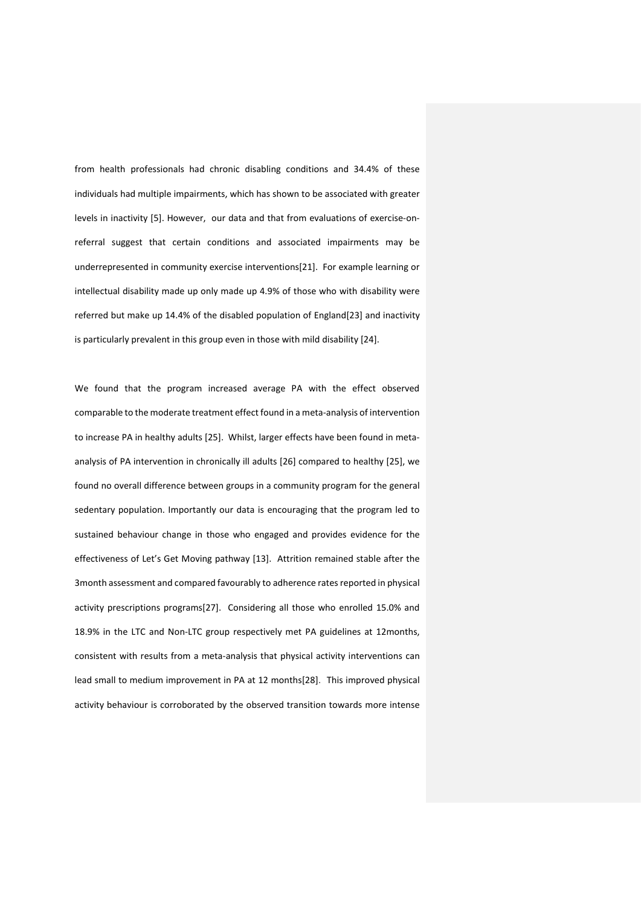from health professionals had chronic disabling conditions and 34.4% of these individuals had multiple impairments, which has shown to be associated with greater levels in inactivity [\[5\]](#page-16-4). However, our data and that from evaluations of exercise-onreferral suggest that certain conditions and associated impairments may be underrepresented in community exercise interventions[\[21\]](#page-17-12). For example learning or intellectual disability made up only made up 4.9% of those who with disability were referred but make up 14.4% of the disabled population of England[\[23\]](#page-17-14) and inactivity is particularly prevalent in this group even in those with mild disability [\[24\]](#page-17-15).

We found that the program increased average PA with the effect observed comparable to the moderate treatment effect found in a meta-analysis of intervention to increase PA in healthy adults [\[25\]](#page-17-16). Whilst, larger effects have been found in metaanalysis of PA intervention in chronically ill adults [\[26\]](#page-17-17) compared to healthy [\[25\]](#page-17-16), we found no overall difference between groups in a community program for the general sedentary population. Importantly our data is encouraging that the program led to sustained behaviour change in those who engaged and provides evidence for the effectiveness of Let's Get Moving pathway [\[13\]](#page-17-4). Attrition remained stable after the 3month assessment and compared favourably to adherence rates reported in physical activity prescriptions programs[\[27\]](#page-17-18). Considering all those who enrolled 15.0% and 18.9% in the LTC and Non-LTC group respectively met PA guidelines at 12months, consistent with results from a meta-analysis that physical activity interventions can lead small to medium improvement in PA at 12 months[\[28\]](#page-18-0). This improved physical activity behaviour is corroborated by the observed transition towards more intense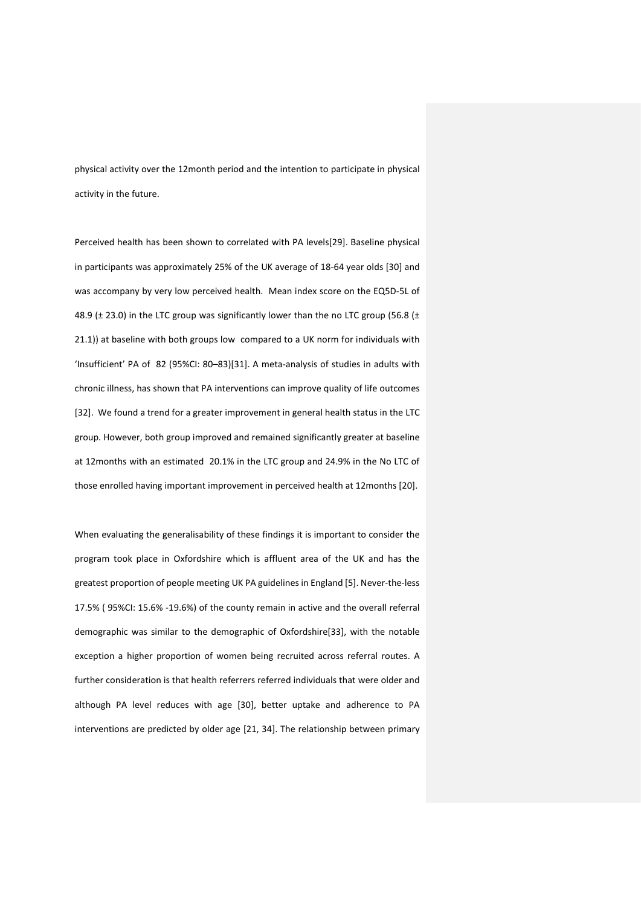physical activity over the 12month period and the intention to participate in physical activity in the future.

Perceived health has been shown to correlated with PA levels[\[29\]](#page-18-1). Baseline physical in participants was approximately 25% of the UK average of 18-64 year olds [\[30\]](#page-18-2) and was accompany by very low perceived health. Mean index score on the EQ5D-5L of 48.9 ( $\pm$  23.0) in the LTC group was significantly lower than the no LTC group (56.8 ( $\pm$ 21.1)) at baseline with both groups low compared to a UK norm for individuals with 'Insufficient' PA of 82 (95%CI: 80–83)[\[31\]](#page-18-3). A meta-analysis of studies in adults with chronic illness, has shown that PA interventions can improve quality of life outcomes [\[32\]](#page-18-4). We found a trend for a greater improvement in general health status in the LTC group. However, both group improved and remained significantly greater at baseline at 12months with an estimated 20.1% in the LTC group and 24.9% in the No LTC of those enrolled having important improvement in perceived health at 12months [\[20\]](#page-17-11).

When evaluating the generalisability of these findings it is important to consider the program took place in Oxfordshire which is affluent area of the UK and has the greatest proportion of people meeting UK PA guidelines in England [\[5\]](#page-16-4). Never-the-less 17.5% ( 95%CI: 15.6% -19.6%) of the county remain in active and the overall referral demographic was similar to the demographic of Oxfordshire[\[33\]](#page-18-5), with the notable exception a higher proportion of women being recruited across referral routes. A further consideration is that health referrers referred individuals that were older and although PA level reduces with age [\[30\]](#page-18-2), better uptake and adherence to PA interventions are predicted by older age [\[21,](#page-17-12) [34\]](#page-18-6). The relationship between primary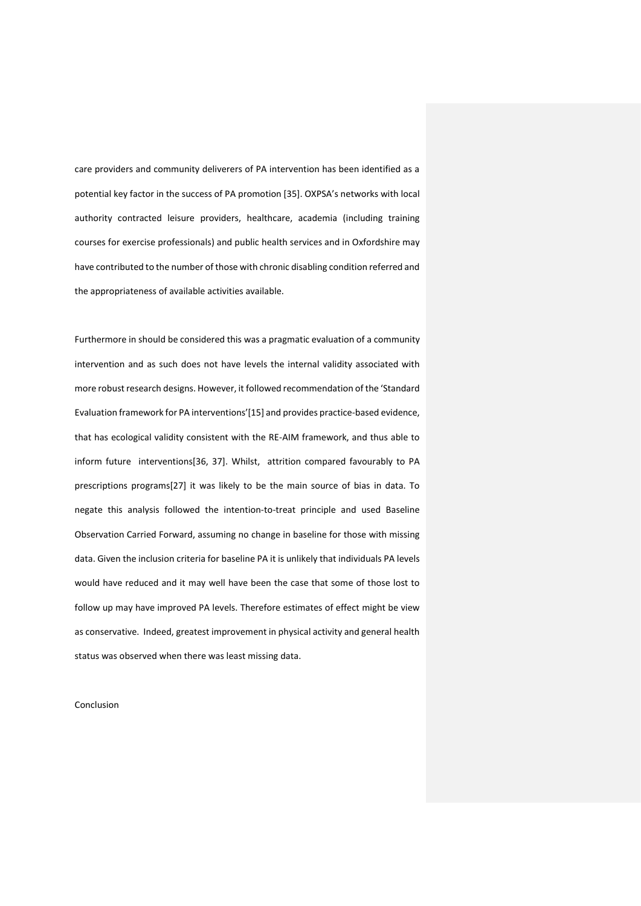care providers and community deliverers of PA intervention has been identified as a potential key factor in the success of PA promotion [\[35\]](#page-18-7). OXPSA's networks with local authority contracted leisure providers, healthcare, academia (including training courses for exercise professionals) and public health services and in Oxfordshire may have contributed to the number of those with chronic disabling condition referred and the appropriateness of available activities available.

Furthermore in should be considered this was a pragmatic evaluation of a community intervention and as such does not have levels the internal validity associated with more robust research designs. However, it followed recommendation of the 'Standard Evaluation framework for PA interventions'[\[15\]](#page-17-6) and provides practice-based evidence, that has ecological validity consistent with the RE-AIM framework, and thus able to inform future interventions[\[36,](#page-18-8) [37\]](#page-18-9). Whilst, attrition compared favourably to PA prescriptions programs[\[27\]](#page-17-18) it was likely to be the main source of bias in data. To negate this analysis followed the intention-to-treat principle and used Baseline Observation Carried Forward, assuming no change in baseline for those with missing data. Given the inclusion criteria for baseline PA it is unlikely that individuals PA levels would have reduced and it may well have been the case that some of those lost to follow up may have improved PA levels. Therefore estimates of effect might be view as conservative. Indeed, greatest improvement in physical activity and general health status was observed when there was least missing data.

Conclusion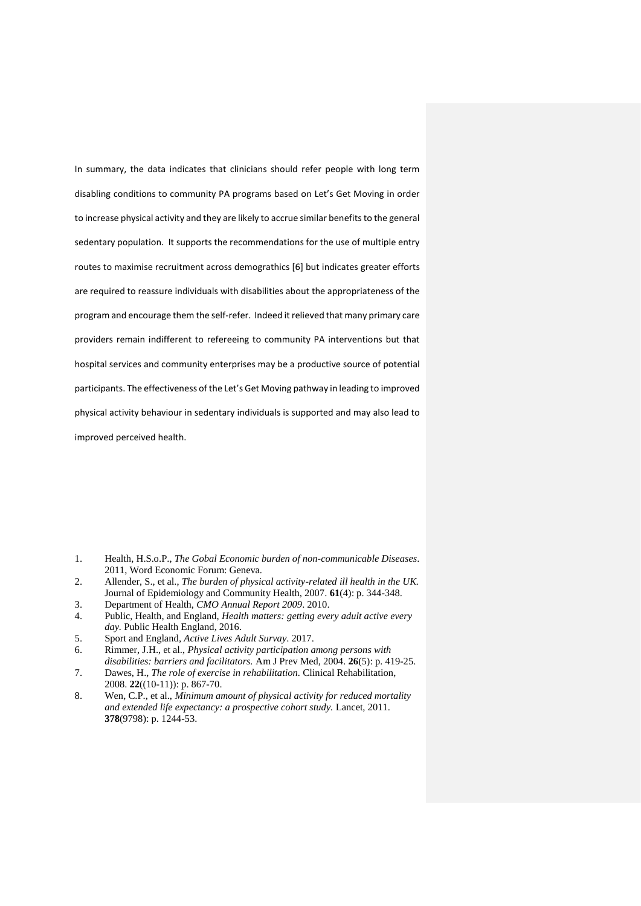In summary, the data indicates that clinicians should refer people with long term disabling conditions to community PA programs based on Let's Get Moving in order to increase physical activity and they are likely to accrue similar benefits to the general sedentary population. It supports the recommendations for the use of multiple entry routes to maximise recruitment across demograthics [6] but indicates greater efforts are required to reassure individuals with disabilities about the appropriateness of the program and encourage them the self-refer. Indeed it relieved that many primary care providers remain indifferent to refereeing to community PA interventions but that hospital services and community enterprises may be a productive source of potential participants. The effectiveness of the Let's Get Moving pathway in leading to improved physical activity behaviour in sedentary individuals is supported and may also lead to improved perceived health.

- <span id="page-16-0"></span>1. Health, H.S.o.P., *The Gobal Economic burden of non-communicable Diseases*. 2011, Word Economic Forum: Geneva.
- <span id="page-16-1"></span>2. Allender, S., et al., *The burden of physical activity-related ill health in the UK.* Journal of Epidemiology and Community Health, 2007. **61**(4): p. 344-348.
- <span id="page-16-2"></span>3. Department of Health, *CMO Annual Report 2009*. 2010.
- <span id="page-16-3"></span>4. Public, Health, and England, *Health matters: getting every adult active every day.* Public Health England, 2016.
- <span id="page-16-4"></span>5. Sport and England, *Active Lives Adult Survay*. 2017.
- <span id="page-16-5"></span>6. Rimmer, J.H., et al., *Physical activity participation among persons with disabilities: barriers and facilitators.* Am J Prev Med, 2004. **26**(5): p. 419-25.
- <span id="page-16-6"></span>7. Dawes, H., *The role of exercise in rehabilitation.* Clinical Rehabilitation, 2008. **22**((10-11)): p. 867-70.
- <span id="page-16-7"></span>8. Wen, C.P., et al., *Minimum amount of physical activity for reduced mortality and extended life expectancy: a prospective cohort study.* Lancet, 2011. **378**(9798): p. 1244-53.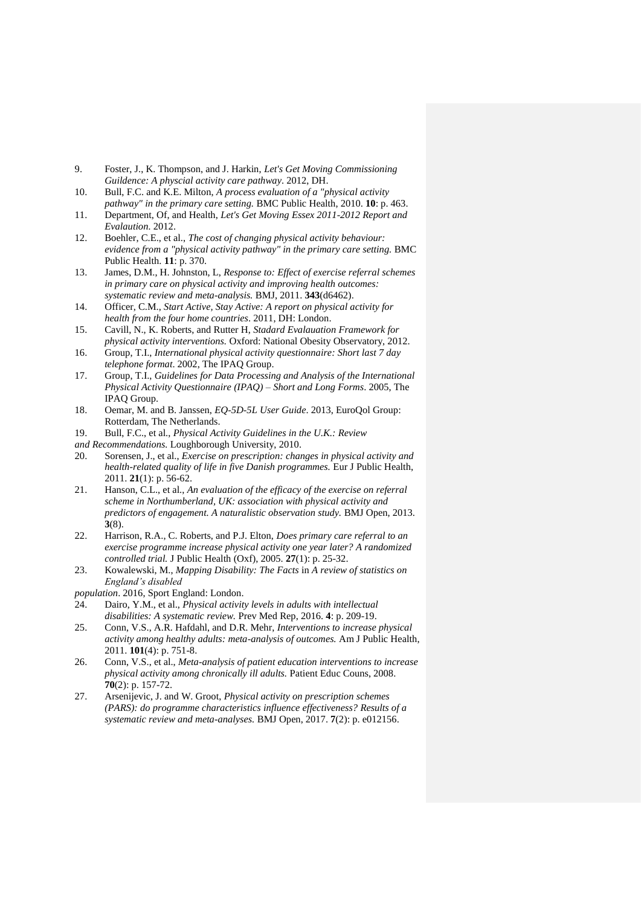- <span id="page-17-0"></span>9. Foster, J., K. Thompson, and J. Harkin, *Let's Get Moving Commissioning Guildence: A physcial activity care pathway*. 2012, DH.
- <span id="page-17-1"></span>10. Bull, F.C. and K.E. Milton, *A process evaluation of a "physical activity pathway" in the primary care setting.* BMC Public Health, 2010. **10**: p. 463.
- <span id="page-17-2"></span>11. Department, Of, and Health, *Let's Get Moving Essex 2011-2012 Report and Evalaution.* 2012.
- <span id="page-17-3"></span>12. Boehler, C.E., et al., *The cost of changing physical activity behaviour: evidence from a "physical activity pathway" in the primary care setting.* BMC Public Health. **11**: p. 370.
- <span id="page-17-4"></span>13. James, D.M., H. Johnston, L, *Response to: Effect of exercise referral schemes in primary care on physical activity and improving health outcomes: systematic review and meta-analysis.* BMJ, 2011. **343**(d6462).
- <span id="page-17-5"></span>14. Officer, C.M., *Start Active, Stay Active: A report on physical activity for health from the four home countries*. 2011, DH: London.
- <span id="page-17-6"></span>15. Cavill, N., K. Roberts, and Rutter H, *Stadard Evalauation Framework for physical activity interventions.* Oxford: National Obesity Observatory, 2012.
- <span id="page-17-7"></span>16. Group, T.I., *International physical activity questionnaire: Short last 7 day telephone format*. 2002, The IPAQ Group.
- <span id="page-17-8"></span>17. Group, T.I., *Guidelines for Data Processing and Analysis of the International Physical Activity Questionnaire (IPAQ) – Short and Long Forms*. 2005, The IPAQ Group.
- <span id="page-17-9"></span>18. Oemar, M. and B. Janssen, *EQ-5D-5L User Guide*. 2013, EuroQol Group: Rotterdam, The Netherlands.
- <span id="page-17-10"></span>19. Bull, F.C., et al., *Physical Activity Guidelines in the U.K.: Review*
- *and Recommendations.* Loughborough University, 2010.
- <span id="page-17-11"></span>20. Sorensen, J., et al., *Exercise on prescription: changes in physical activity and health-related quality of life in five Danish programmes.* Eur J Public Health, 2011. **21**(1): p. 56-62.
- <span id="page-17-12"></span>21. Hanson, C.L., et al., *An evaluation of the efficacy of the exercise on referral scheme in Northumberland, UK: association with physical activity and predictors of engagement. A naturalistic observation study.* BMJ Open, 2013. **3**(8).
- <span id="page-17-13"></span>22. Harrison, R.A., C. Roberts, and P.J. Elton, *Does primary care referral to an exercise programme increase physical activity one year later? A randomized controlled trial.* J Public Health (Oxf), 2005. **27**(1): p. 25-32.
- <span id="page-17-14"></span>23. Kowalewski, M., *Mapping Disability: The Facts* in *A review of statistics on England's disabled*

*population*. 2016, Sport England: London.

- <span id="page-17-15"></span>24. Dairo, Y.M., et al., *Physical activity levels in adults with intellectual disabilities: A systematic review.* Prev Med Rep, 2016. **4**: p. 209-19.
- <span id="page-17-16"></span>25. Conn, V.S., A.R. Hafdahl, and D.R. Mehr, *Interventions to increase physical activity among healthy adults: meta-analysis of outcomes.* Am J Public Health, 2011. **101**(4): p. 751-8.
- <span id="page-17-17"></span>26. Conn, V.S., et al., *Meta-analysis of patient education interventions to increase physical activity among chronically ill adults.* Patient Educ Couns, 2008. **70**(2): p. 157-72.
- <span id="page-17-18"></span>27. Arsenijevic, J. and W. Groot, *Physical activity on prescription schemes (PARS): do programme characteristics influence effectiveness? Results of a systematic review and meta-analyses.* BMJ Open, 2017. **7**(2): p. e012156.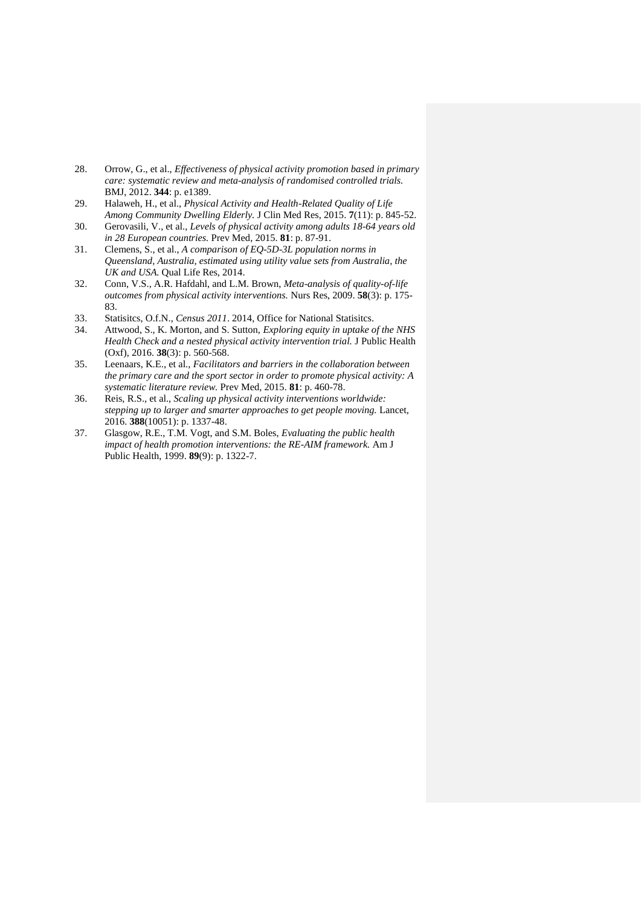- <span id="page-18-0"></span>28. Orrow, G., et al., *Effectiveness of physical activity promotion based in primary care: systematic review and meta-analysis of randomised controlled trials.* BMJ, 2012. **344**: p. e1389.
- <span id="page-18-1"></span>29. Halaweh, H., et al., *Physical Activity and Health-Related Quality of Life Among Community Dwelling Elderly.* J Clin Med Res, 2015. **7**(11): p. 845-52.
- <span id="page-18-2"></span>30. Gerovasili, V., et al., *Levels of physical activity among adults 18-64 years old in 28 European countries.* Prev Med, 2015. **81**: p. 87-91.
- <span id="page-18-3"></span>31. Clemens, S., et al., *A comparison of EQ-5D-3L population norms in Queensland, Australia, estimated using utility value sets from Australia, the UK and USA.* Qual Life Res, 2014.
- <span id="page-18-4"></span>32. Conn, V.S., A.R. Hafdahl, and L.M. Brown, *Meta-analysis of quality-of-life outcomes from physical activity interventions.* Nurs Res, 2009. **58**(3): p. 175- 83.
- <span id="page-18-5"></span>33. Statisitcs, O.f.N., *Census 2011*. 2014, Office for National Statisitcs.
- <span id="page-18-6"></span>34. Attwood, S., K. Morton, and S. Sutton, *Exploring equity in uptake of the NHS Health Check and a nested physical activity intervention trial.* J Public Health (Oxf), 2016. **38**(3): p. 560-568.
- <span id="page-18-7"></span>35. Leenaars, K.E., et al., *Facilitators and barriers in the collaboration between the primary care and the sport sector in order to promote physical activity: A systematic literature review.* Prev Med, 2015. **81**: p. 460-78.
- <span id="page-18-8"></span>36. Reis, R.S., et al., *Scaling up physical activity interventions worldwide: stepping up to larger and smarter approaches to get people moving.* Lancet, 2016. **388**(10051): p. 1337-48.
- <span id="page-18-9"></span>37. Glasgow, R.E., T.M. Vogt, and S.M. Boles, *Evaluating the public health impact of health promotion interventions: the RE-AIM framework.* Am J Public Health, 1999. **89**(9): p. 1322-7.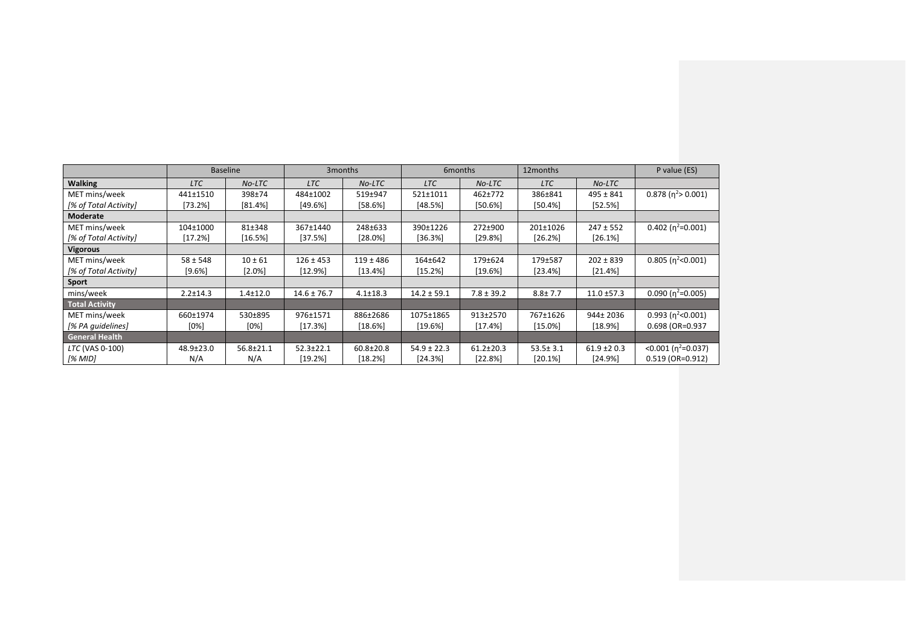|                       | <b>Baseline</b> |                 | 3 <sub>months</sub><br>6 <sub>m</sub> onths |                 | 12 months       |                 | P value (ES)   |                 |                         |
|-----------------------|-----------------|-----------------|---------------------------------------------|-----------------|-----------------|-----------------|----------------|-----------------|-------------------------|
| <b>Walking</b>        | <b>LTC</b>      | No-LTC          | <b>LTC</b>                                  | No-LTC          | <b>LTC</b>      | No-LTC          | <b>LTC</b>     | No-LTC          |                         |
| MET mins/week         | 441±1510        | 398±74          | 484±1002                                    | 519±947         | 521±1011        | 462±772         | 386±841        | $495 \pm 841$   | $0.878(n^2)$ = 0.001)   |
| [% of Total Activity] | [73.2%]         | $[81.4\%]$      | $[49.6\%]$                                  | [58.6%]         | $[48.5\%]$      | [50.6%]         | [50.4%]        | $[52.5\%]$      |                         |
| Moderate              |                 |                 |                                             |                 |                 |                 |                |                 |                         |
| MET mins/week         | 104±1000        | 81±348          | 367±1440                                    | 248±633         | 390±1226        | 272±900         | 201±1026       | $247 \pm 552$   | 0.402 ( $n^2$ =0.001)   |
| [% of Total Activity] | [17.2%]         | $[16.5\%]$      | $[37.5\%]$                                  | $[28.0\%]$      | $[36.3\%]$      | $[29.8\%]$      | [26.2%]        | [26.1%]         |                         |
| <b>Vigorous</b>       |                 |                 |                                             |                 |                 |                 |                |                 |                         |
| MET mins/week         | $58 \pm 548$    | $10 \pm 61$     | $126 \pm 453$                               | $119 \pm 486$   | 164±642         | 179±624         | 179±587        | $202 \pm 839$   | $0.805 (n^2<0.001)$     |
| [% of Total Activity] | [9.6%]          | $[2.0\%]$       | $[12.9\%]$                                  | [13.4%]         | [15.2%]         | [19.6%]         | [23.4%]        | [21.4%]         |                         |
| Sport                 |                 |                 |                                             |                 |                 |                 |                |                 |                         |
| mins/week             | $2.2 \pm 14.3$  | $1.4 + 12.0$    | $14.6 \pm 76.7$                             | $4.1 \pm 18.3$  | $14.2 \pm 59.1$ | $7.8 \pm 39.2$  | $8.8 \pm 7.7$  | $11.0 \pm 57.3$ | 0.090 ( $n^2$ =0.005)   |
| <b>Total Activity</b> |                 |                 |                                             |                 |                 |                 |                |                 |                         |
| MET mins/week         | 660±1974        | 530±895         | 976±1571                                    | 886±2686        | 1075±1865       | 913±2570        | 767±1626       | 944± 2036       | 0.993 ( $n^2$ < 0.001)  |
| [% PA quidelines]     | [0%]            | [0%]            | $[17.3\%]$                                  | [18.6%]         | $[19.6\%]$      | $[17.4\%]$      | $[15.0\%]$     | [18.9%]         | 0.698 (OR=0.937         |
| General Health        |                 |                 |                                             |                 |                 |                 |                |                 |                         |
| LTC (VAS 0-100)       | $48.9 \pm 23.0$ | $56.8 \pm 21.1$ | $52.3 \pm 22.1$                             | $60.8 \pm 20.8$ | $54.9 \pm 22.3$ | $61.2 \pm 20.3$ | $53.5 \pm 3.1$ | $61.9 \pm 20.3$ | $< 0.001 (n^2 = 0.037)$ |
| [% MID]               | N/A             | N/A             | [19.2%]                                     | [18.2%]         | [24.3%]         | [22.8%]         | [20.1%]        | [24.9%]         | $0.519$ (OR=0.912)      |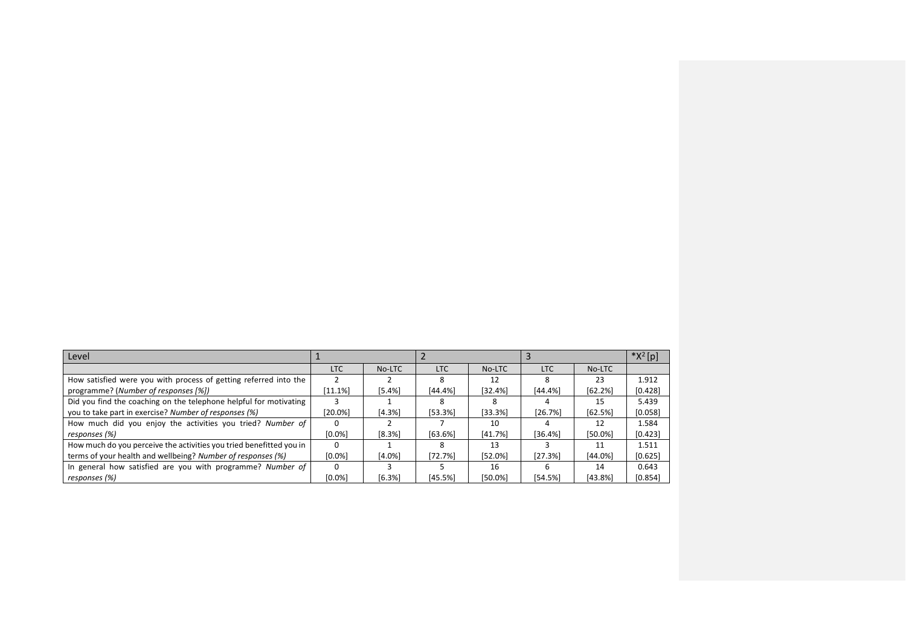| Level                                                               |              |        |            |            |            |            | * $X^2$ [p] |
|---------------------------------------------------------------------|--------------|--------|------------|------------|------------|------------|-------------|
|                                                                     | <b>LTC</b>   | No-LTC | <b>LTC</b> | No-LTC     | <b>LTC</b> | No-LTC     |             |
| How satisfied were you with process of getting referred into the    |              |        |            | 12         | 8          | 23         | 1.912       |
| programme? (Number of responses [%])                                | [11.1%]      | [5.4%] | [44.4%]    | [32.4%]    | [44.4%]    | [62.2%]    | [0.428]     |
| Did you find the coaching on the telephone helpful for motivating   |              |        |            |            |            | 15         | 5.439       |
| you to take part in exercise? Number of responses (%)               | [20.0%]      | [4.3%] | [53.3%]    | [33.3%]    | [26.7%]    | [62.5%]    | [0.058]     |
| How much did you enjoy the activities you tried? Number of          | <sup>0</sup> |        |            | 10         |            | 12         | 1.584       |
| responses (%)                                                       | $[0.0\%]$    | [8.3%] | [63.6%]    | [41.7%]    | [36.4%]    | $[50.0\%]$ | [0.423]     |
| How much do you perceive the activities you tried benefitted you in | $\Omega$     |        |            | 13         |            | 11         | 1.511       |
| terms of your health and wellbeing? Number of responses (%)         | $[0.0\%]$    | [4.0%] | [72.7%]    | $[52.0\%]$ | $[27.3\%]$ | $[44.0\%]$ | [0.625]     |
| In general how satisfied are you with programme? Number of          | $\Omega$     |        |            | 16         | 6          | 14         | 0.643       |
| responses (%)                                                       | [0.0%]       | [6.3%] | [45.5%]    | $[50.0\%]$ | [54.5%]    | [43.8%]    | [0.854]     |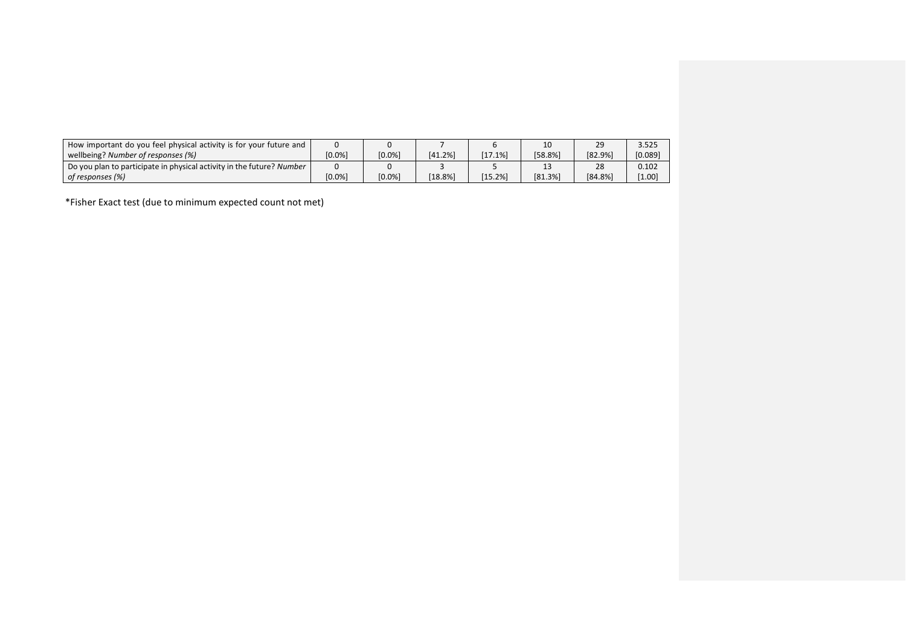| How important do you feel physical activity is for your future and    |           |           |         |            | 10      | 29         | 3.525   |
|-----------------------------------------------------------------------|-----------|-----------|---------|------------|---------|------------|---------|
| wellbeing? Number of responses (%)                                    | $[0.0\%]$ | [0.0%]    | [41.2%] | $[17.1\%]$ | [58.8%] | [82.9%]    | [0.089] |
| Do you plan to participate in physical activity in the future? Number |           |           |         |            | --      | 28         | 0.102   |
| of responses (%)                                                      | $[0.0\%]$ | $[0.0\%]$ | [18.8%] | [15.2%]    | [81.3%] | $[84.8\%]$ | 1.00    |

\*Fisher Exact test (due to minimum expected count not met)